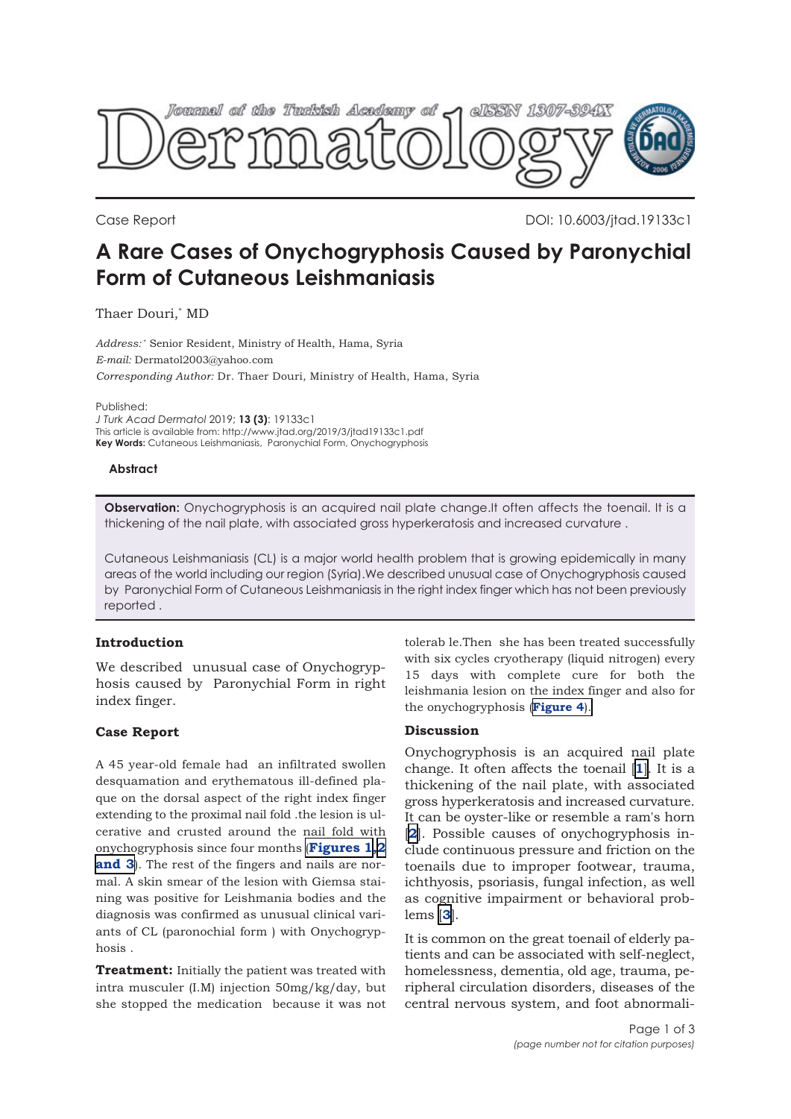

Case Report DOI: 10.6003/jtad.19133c1

# **A Rare Cases of Onychogryphosis Caused by Paronychial Form of Cutaneous Leishmaniasis**

Thaer Douri,\* MD

*Address:* \* Senior Resident, Ministry of Health, Hama, Syria *E-mail:* Dermatol2003@yahoo.com *Corresponding Author:* Dr. Thaer Douri, Ministry of Health, Hama, Syria

Published:

*J Turk Acad Dermatol* 2019; **13 (3)**: 19133c1 This article is available from: http://www.jtad.org/2019/3/jtad19133c1.pdf **Key Words:** Cutaneous Leishmaniasis, Paronychial Form, Onychogryphosis

## **Abstract**

**Observation:** Onychogryphosis is an acquired nail plate change.It often affects the toenail. It is a thickening of the nail plate, with associated gross hyperkeratosis and increased curvature .

Cutaneous Leishmaniasis (CL) is a major world health problem that is growing epidemically in many areas of the world including our region (Syria).We described unusual case of Onychogryphosis caused by Paronychial Form of Cutaneous Leishmaniasis in the right index finger which has not been previously reported .

# **Introduction**

We described unusual case of Onychogryphosis caused by Paronychial Form in right index finger.

## **Case Report**

A 45 year-old female had an infiltrated swollen desquamation and erythematous ill-defined plaque on the dorsal aspect of the right index finger extending to the proximal nail fold .the lesion is ulcerative and crusted around the nail fold with onychogryphosis since four months (**[Figures 1,2](#page-1-0) [and 3](#page-1-0)**). The rest of the fingers and nails are normal. A skin smear of the lesion with Giemsa staining was positive for Leishmania bodies and the diagnosis was confirmed as unusual clinical variants of CL (paronochial form ) with Onychogryphosis .

**Treatment:** Initially the patient was treated with intra musculer (I.M) injection 50mg/kg/day, but she stopped the medication because it was not tolerab le.Then she has been treated successfully with six cycles cryotherapy (liquid nitrogen) every 15 days with complete cure for both the leishmania lesion on the index finger and also for the onychogryphosis (**[Figure 4](#page-1-0)**).

## **Discussion**

Onychogryphosis is an acquired nail plate change. It often affects the toenail [**[1](#page-2-0)**]. It is a thickening of the nail plate, with associated gross hyperkeratosis and increased curvature. It can be oyster-like or resemble a ram's horn [**[2](#page-2-0)**]. Possible causes of onychogryphosis include continuous pressure and friction on the toenails due to improper footwear, trauma, ichthyosis, psoriasis, fungal infection, as well as cognitive impairment or behavioral problems [**[3](#page-2-0)**].

It is common on the great toenail of elderly patients and can be associated with self-neglect, homelessness, dementia, old age, trauma, peripheral circulation disorders, diseases of the central nervous system, and foot abnormali-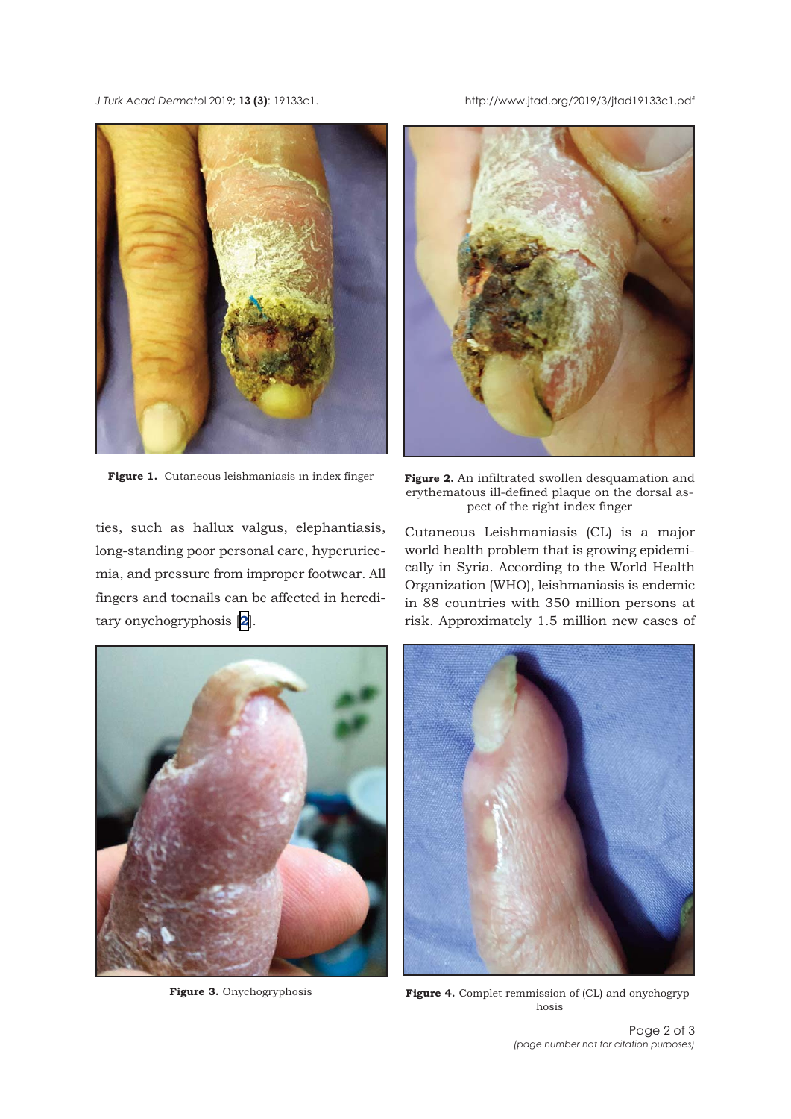<span id="page-1-0"></span>*J Turk Acad Dermato*l 2019; **13 (3)**: 19133c1. http://www.jtad.org/2019/3/jtad19133c1.pdf



ties, such as hallux valgus, elephantiasis, long-standing poor personal care, hyperuricemia, and pressure from improper footwear. All fingers and toenails can be affected in hereditary onychogryphosis [**[2](#page-2-0)**].



Figure 1. Cutaneous leishmaniasis in index finger Figure 2. An infiltrated swollen desquamation and erythematous ill-defined plaque on the dorsal aspect of the right index finger

Cutaneous Leishmaniasis (CL) is a major world health problem that is growing epidemically in Syria. According to the World Health Organization (WHO), leishmaniasis is endemic in 88 countries with 350 million persons at risk. Approximately 1.5 million new cases of



**Figure 3.** Onychogryphosis



Figure 4. Complet remmission of (CL) and onychogryphosis